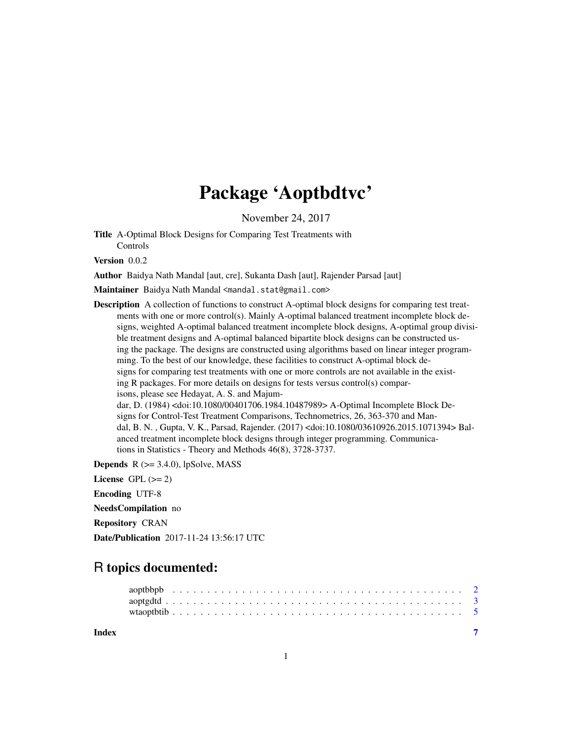# Package 'Aoptbdtvc'

November 24, 2017

Title A-Optimal Block Designs for Comparing Test Treatments with Controls

Version 0.0.2

Author Baidya Nath Mandal [aut, cre], Sukanta Dash [aut], Rajender Parsad [aut]

Maintainer Baidya Nath Mandal <mandal.stat@gmail.com>

Description A collection of functions to construct A-optimal block designs for comparing test treatments with one or more control(s). Mainly A-optimal balanced treatment incomplete block designs, weighted A-optimal balanced treatment incomplete block designs, A-optimal group divisible treatment designs and A-optimal balanced bipartite block designs can be constructed using the package. The designs are constructed using algorithms based on linear integer programming. To the best of our knowledge, these facilities to construct A-optimal block designs for comparing test treatments with one or more controls are not available in the existing R packages. For more details on designs for tests versus control(s) comparisons, please see Hedayat, A. S. and Majumdar, D. (1984) <doi:10.1080/00401706.1984.10487989> A-Optimal Incomplete Block Designs for Control-Test Treatment Comparisons, Technometrics, 26, 363-370 and Mandal, B. N. , Gupta, V. K., Parsad, Rajender. (2017) <doi:10.1080/03610926.2015.1071394> Balanced treatment incomplete block designs through integer programming. Communica-

tions in Statistics - Theory and Methods 46(8), 3728-3737.

**Depends**  $R$  ( $>= 3.4.0$ ), lpSolve, MASS

License GPL  $(>= 2)$ 

Encoding UTF-8

NeedsCompilation no

Repository CRAN

Date/Publication 2017-11-24 13:56:17 UTC

# R topics documented:

**Index** [7](#page-6-0) **7**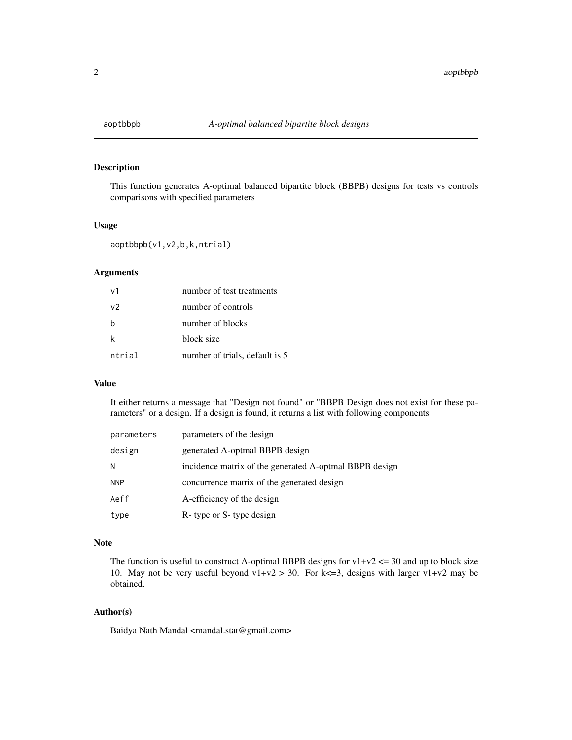<span id="page-1-0"></span>

# Description

This function generates A-optimal balanced bipartite block (BBPB) designs for tests vs controls comparisons with specified parameters

# Usage

aoptbbpb(v1,v2,b,k,ntrial)

# Arguments

| v <sub>1</sub> | number of test treatments      |
|----------------|--------------------------------|
| V <sup>2</sup> | number of controls             |
| h              | number of blocks               |
| k              | block size                     |
| ntrial         | number of trials, default is 5 |

#### Value

It either returns a message that "Design not found" or "BBPB Design does not exist for these parameters" or a design. If a design is found, it returns a list with following components

| parameters | parameters of the design                               |
|------------|--------------------------------------------------------|
| design     | generated A-optmal BBPB design                         |
| N          | incidence matrix of the generated A-optmal BBPB design |
| <b>NNP</b> | concurrence matrix of the generated design             |
| Aeff       | A-efficiency of the design                             |
| type       | R- type or S- type design                              |

#### Note

The function is useful to construct A-optimal BBPB designs for  $v1+v2 \le 30$  and up to block size 10. May not be very useful beyond  $v1+v2 > 30$ . For k <= 3, designs with larger  $v1+v2$  may be obtained.

# Author(s)

Baidya Nath Mandal <mandal.stat@gmail.com>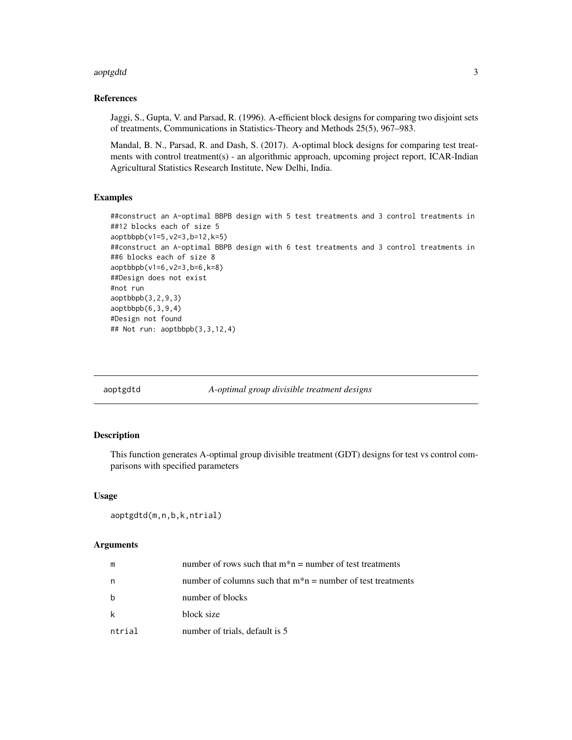#### <span id="page-2-0"></span>aoptgdtd 3

# References

Jaggi, S., Gupta, V. and Parsad, R. (1996). A-efficient block designs for comparing two disjoint sets of treatments, Communications in Statistics-Theory and Methods 25(5), 967–983.

Mandal, B. N., Parsad, R. and Dash, S. (2017). A-optimal block designs for comparing test treatments with control treatment(s) - an algorithmic approach, upcoming project report, ICAR-Indian Agricultural Statistics Research Institute, New Delhi, India.

#### Examples

```
##construct an A-optimal BBPB design with 5 test treatments and 3 control treatments in
##12 blocks each of size 5
aoptbbpb(v1=5,v2=3,b=12,k=5)
##construct an A-optimal BBPB design with 6 test treatments and 3 control treatments in
##6 blocks each of size 8
aoptbbpb(v1=6,v2=3,b=6,k=8)
##Design does not exist
#not run
aoptbbpb(3,2,9,3)
aoptbbpb(6,3,9,4)
#Design not found
## Not run: aoptbbpb(3,3,12,4)
```
aoptgdtd *A-optimal group divisible treatment designs*

# Description

This function generates A-optimal group divisible treatment (GDT) designs for test vs control comparisons with specified parameters

#### Usage

```
aoptgdtd(m,n,b,k,ntrial)
```
#### Arguments

| m      | number of rows such that $m^*n$ = number of test treatments    |
|--------|----------------------------------------------------------------|
| n      | number of columns such that $m^*n$ = number of test treatments |
| b      | number of blocks                                               |
| k      | block size                                                     |
| ntrial | number of trials, default is 5                                 |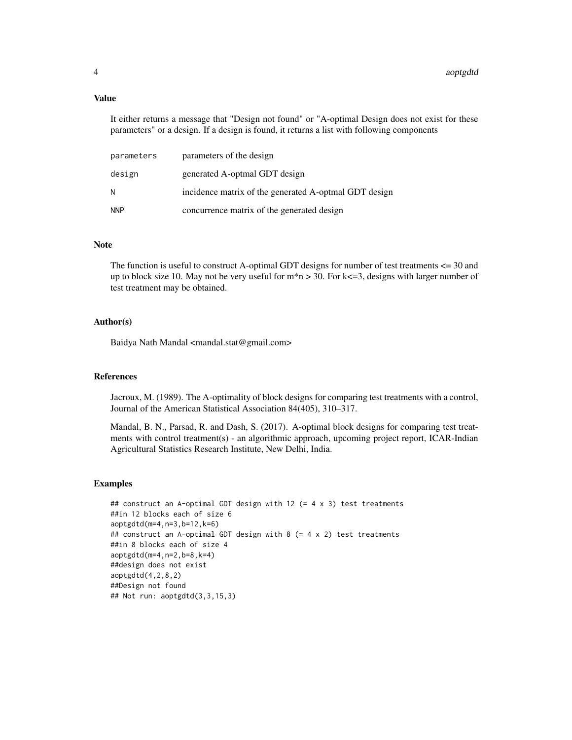#### Value

It either returns a message that "Design not found" or "A-optimal Design does not exist for these parameters" or a design. If a design is found, it returns a list with following components

| parameters | parameters of the design                              |
|------------|-------------------------------------------------------|
| design     | generated A-optmal GDT design                         |
| N          | incidence matrix of the generated A-optmal GDT design |
| <b>NNP</b> | concurrence matrix of the generated design            |

#### **Note**

The function is useful to construct A-optimal GDT designs for number of test treatments <= 30 and up to block size 10. May not be very useful for m\*n > 30. For k<=3, designs with larger number of test treatment may be obtained.

#### Author(s)

Baidya Nath Mandal <mandal.stat@gmail.com>

#### References

Jacroux, M. (1989). The A-optimality of block designs for comparing test treatments with a control, Journal of the American Statistical Association 84(405), 310–317.

Mandal, B. N., Parsad, R. and Dash, S. (2017). A-optimal block designs for comparing test treatments with control treatment(s) - an algorithmic approach, upcoming project report, ICAR-Indian Agricultural Statistics Research Institute, New Delhi, India.

# Examples

```
## construct an A-optimal GDT design with 12 (= 4 x 3) test treatments
##in 12 blocks each of size 6
aoptgdtd(m=4,n=3,b=12,k=6)
## construct an A-optimal GDT design with 8 (= 4 x 2) test treatments
##in 8 blocks each of size 4
aoptgdtd(m=4,n=2,b=8,k=4)
##design does not exist
aoptgdtd(4,2,8,2)
##Design not found
## Not run: aoptgdtd(3,3,15,3)
```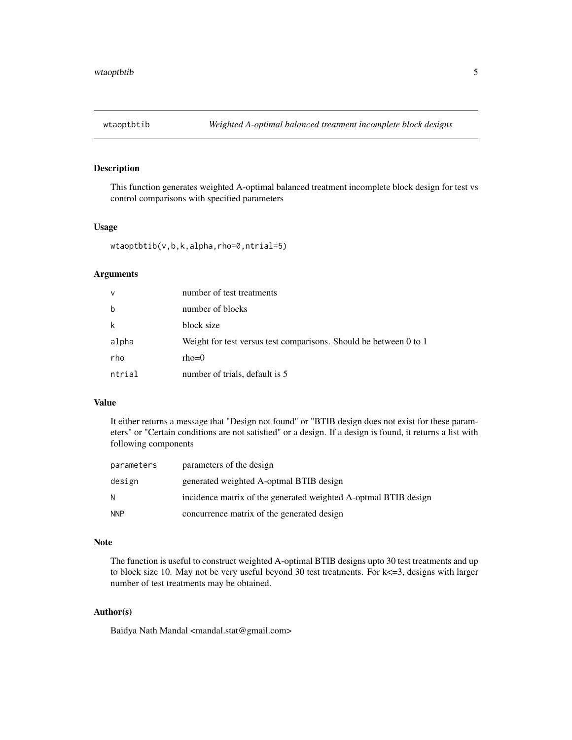<span id="page-4-0"></span>

# Description

This function generates weighted A-optimal balanced treatment incomplete block design for test vs control comparisons with specified parameters

# Usage

wtaoptbtib(v,b,k,alpha,rho=0,ntrial=5)

# Arguments

| $\mathsf{V}$ | number of test treatments                                         |
|--------------|-------------------------------------------------------------------|
| $\mathbf b$  | number of blocks                                                  |
| k            | block size                                                        |
| alpha        | Weight for test versus test comparisons. Should be between 0 to 1 |
| rho          | $rho=0$                                                           |
| ntrial       | number of trials, default is 5                                    |

#### Value

It either returns a message that "Design not found" or "BTIB design does not exist for these parameters" or "Certain conditions are not satisfied" or a design. If a design is found, it returns a list with following components

| parameters | parameters of the design                                        |
|------------|-----------------------------------------------------------------|
| design     | generated weighted A-optmal BTIB design                         |
| N          | incidence matrix of the generated weighted A-optmal BTIB design |
| <b>NNP</b> | concurrence matrix of the generated design                      |

# Note

The function is useful to construct weighted A-optimal BTIB designs upto 30 test treatments and up to block size 10. May not be very useful beyond 30 test treatments. For k<=3, designs with larger number of test treatments may be obtained.

#### Author(s)

Baidya Nath Mandal <mandal.stat@gmail.com>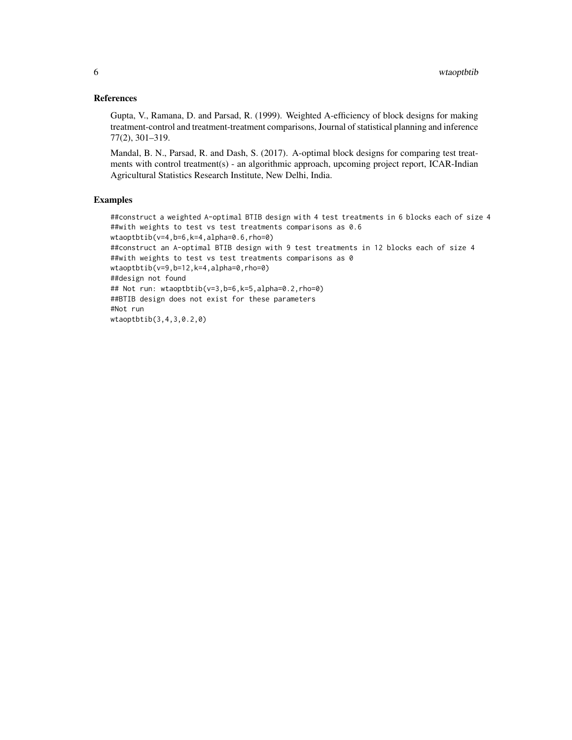# References

Gupta, V., Ramana, D. and Parsad, R. (1999). Weighted A-efficiency of block designs for making treatment-control and treatment-treatment comparisons, Journal of statistical planning and inference 77(2), 301–319.

Mandal, B. N., Parsad, R. and Dash, S. (2017). A-optimal block designs for comparing test treatments with control treatment(s) - an algorithmic approach, upcoming project report, ICAR-Indian Agricultural Statistics Research Institute, New Delhi, India.

# Examples

##construct a weighted A-optimal BTIB design with 4 test treatments in 6 blocks each of size 4 ##with weights to test vs test treatments comparisons as 0.6 wtaoptbtib(v=4,b=6,k=4,alpha=0.6,rho=0) ##construct an A-optimal BTIB design with 9 test treatments in 12 blocks each of size 4 ##with weights to test vs test treatments comparisons as 0 wtaoptbtib(v=9,b=12,k=4,alpha=0,rho=0) ##design not found ## Not run: wtaoptbtib(v=3,b=6,k=5,alpha=0.2,rho=0) ##BTIB design does not exist for these parameters #Not run wtaoptbtib(3,4,3,0.2,0)